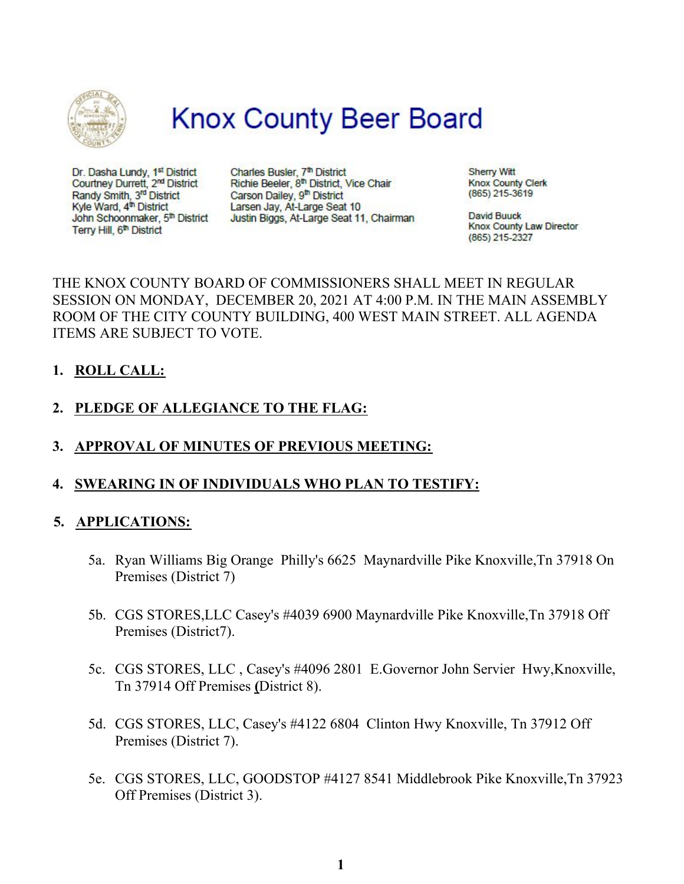

# **Knox County Beer Board**

Dr. Dasha Lundy, 1st District Courtney Durrett, 2<sup>nd</sup> District Randy Smith, 3<sup>rd</sup> District Kyle Ward, 4<sup>th</sup> District John Schoonmaker, 5th District Terry Hill, 6<sup>th</sup> District

Charles Busler, 7th District Richie Beeler, 8th District, Vice Chair Carson Dailey, 9th District Larsen Jay, At-Large Seat 10 Justin Biggs, At-Large Seat 11, Chairman **Sherry Witt Knox County Clerk** (865) 215-3619

**David Buuck Knox County Law Director** (865) 215-2327

## THE KNOX COUNTY BOARD OF COMMISSIONERS SHALL MEET IN REGULAR SESSION ON MONDAY, DECEMBER 20, 2021 AT 4:00 P.M. IN THE MAIN ASSEMBLY ROOM OF THE CITY COUNTY BUILDING, 400 WEST MAIN STREET. ALL AGENDA ITEMS ARE SUBJECT TO VOTE.

## **1. ROLL CALL:**

# **2. PLEDGE OF ALLEGIANCE TO THE FLAG:**

**3. APPROVAL OF MINUTES OF PREVIOUS MEETING:**

## **4. SWEARING IN OF INDIVIDUALS WHO PLAN TO TESTIFY:**

#### **5. APPLICATIONS:**

- 5a. Ryan Williams Big Orange Philly's 6625 Maynardville Pike Knoxville,Tn 37918 On Premises (District 7)
- 5b. CGS STORES,LLC Casey's #4039 6900 Maynardville Pike Knoxville,Tn 37918 Off Premises (District7).
- 5c. CGS STORES, LLC , Casey's #4096 2801 E.Governor John Servier Hwy,Knoxville, Tn 37914 Off Premises **(**District 8).
- 5d. CGS STORES, LLC, Casey's #4122 6804 Clinton Hwy Knoxville, Tn 37912 Off Premises (District 7).
- 5e. CGS STORES, LLC, GOODSTOP #4127 8541 Middlebrook Pike Knoxville,Tn 37923 Off Premises (District 3).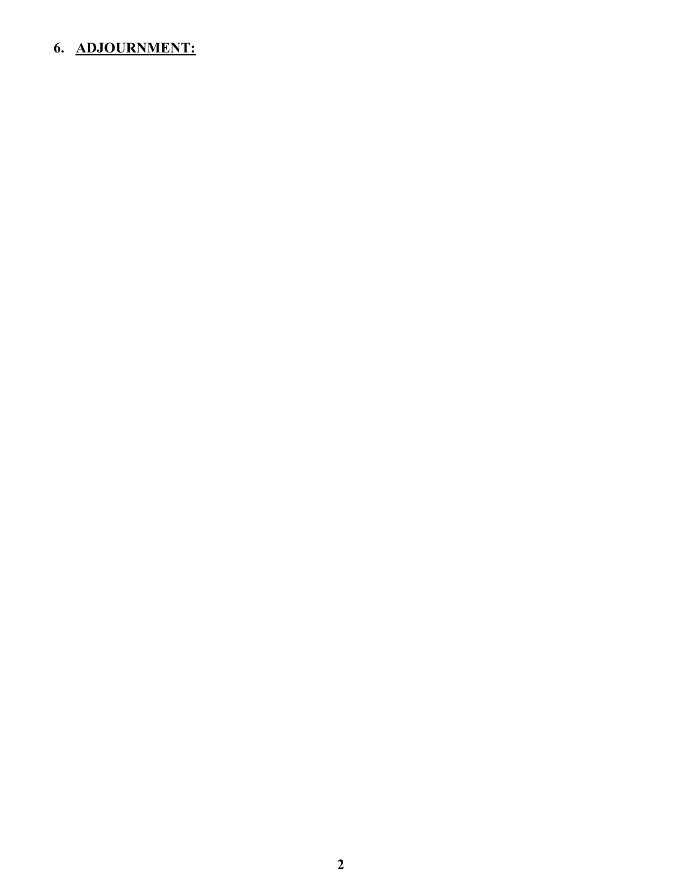# **6. ADJOURNMENT:**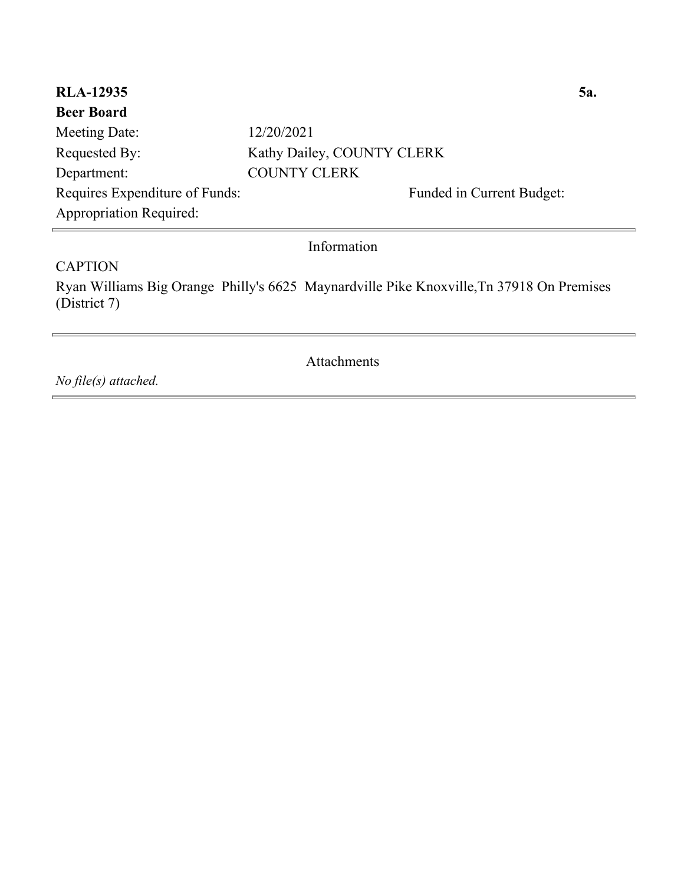| <b>RLA-12935</b>               |                            | 5a. |
|--------------------------------|----------------------------|-----|
| <b>Beer Board</b>              |                            |     |
| Meeting Date:                  | 12/20/2021                 |     |
| Requested By:                  | Kathy Dailey, COUNTY CLERK |     |
| Department:                    | <b>COUNTY CLERK</b>        |     |
| Requires Expenditure of Funds: | Funded in Current Budget:  |     |
| <b>Appropriation Required:</b> |                            |     |
| Information                    |                            |     |

#### **CAPTION**

Ryan Williams Big Orange Philly's 6625 Maynardville Pike Knoxville,Tn 37918 On Premises (District 7)

Attachments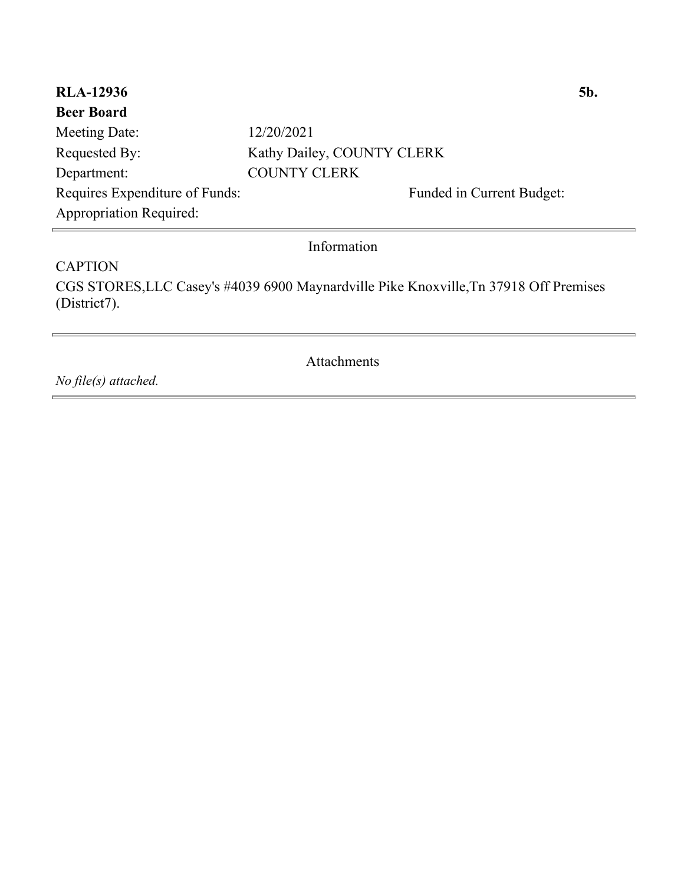| <b>RLA-12936</b>               |                            | 5b. |
|--------------------------------|----------------------------|-----|
| <b>Beer Board</b>              |                            |     |
| Meeting Date:                  | 12/20/2021                 |     |
| Requested By:                  | Kathy Dailey, COUNTY CLERK |     |
| Department:                    | <b>COUNTY CLERK</b>        |     |
| Requires Expenditure of Funds: | Funded in Current Budget:  |     |
| <b>Appropriation Required:</b> |                            |     |
| Information                    |                            |     |

**CAPTION** CGS STORES,LLC Casey's #4039 6900 Maynardville Pike Knoxville,Tn 37918 Off Premises (District7).

Attachments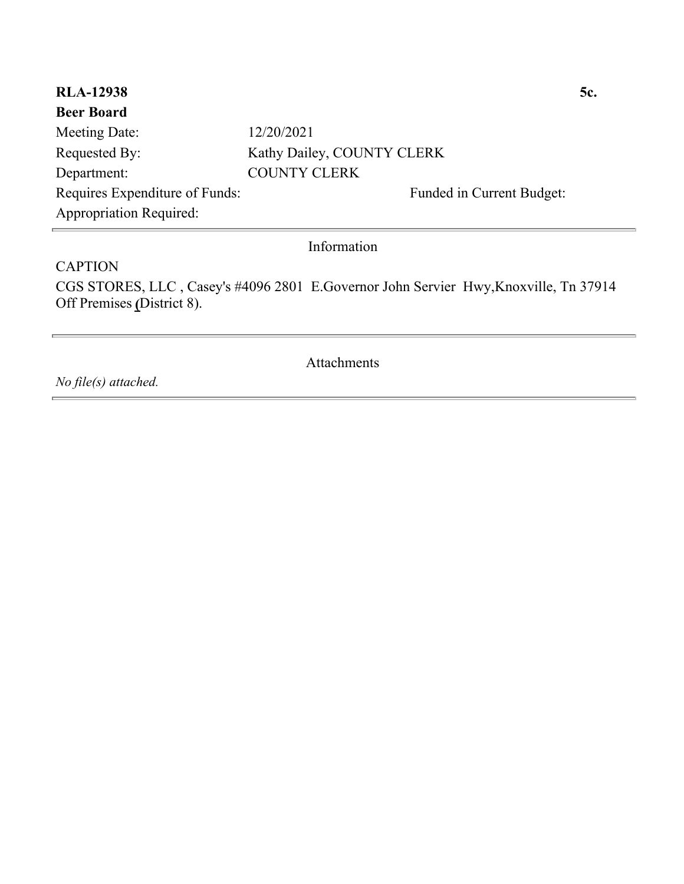| <b>RLA-12938</b>               |                            | 5c. |
|--------------------------------|----------------------------|-----|
| <b>Beer Board</b>              |                            |     |
| Meeting Date:                  | 12/20/2021                 |     |
| Requested By:                  | Kathy Dailey, COUNTY CLERK |     |
| Department:                    | <b>COUNTY CLERK</b>        |     |
| Requires Expenditure of Funds: | Funded in Current Budget:  |     |
| <b>Appropriation Required:</b> |                            |     |
| Information                    |                            |     |

**CAPTION** CGS STORES, LLC , Casey's #4096 2801 E.Governor John Servier Hwy,Knoxville, Tn 37914 Off Premises **(**District 8).

Attachments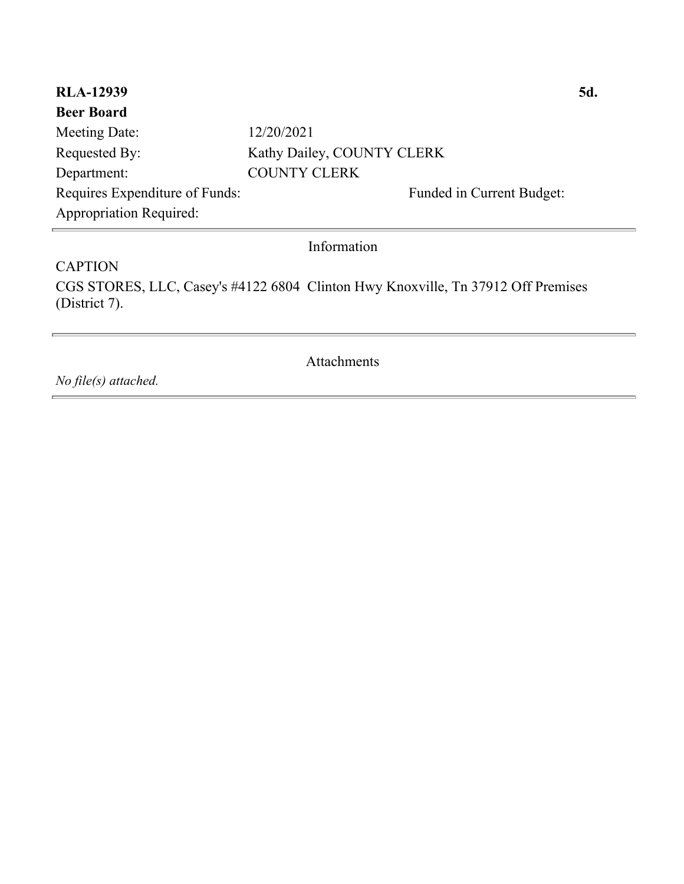| <b>RLA-12939</b>               |                            | 5d. |
|--------------------------------|----------------------------|-----|
| <b>Beer Board</b>              |                            |     |
| Meeting Date:                  | 12/20/2021                 |     |
| Requested By:                  | Kathy Dailey, COUNTY CLERK |     |
| Department:                    | <b>COUNTY CLERK</b>        |     |
| Requires Expenditure of Funds: | Funded in Current Budget:  |     |
| <b>Appropriation Required:</b> |                            |     |
| Information                    |                            |     |

**CAPTION** CGS STORES, LLC, Casey's #4122 6804 Clinton Hwy Knoxville, Tn 37912 Off Premises (District 7).

Attachments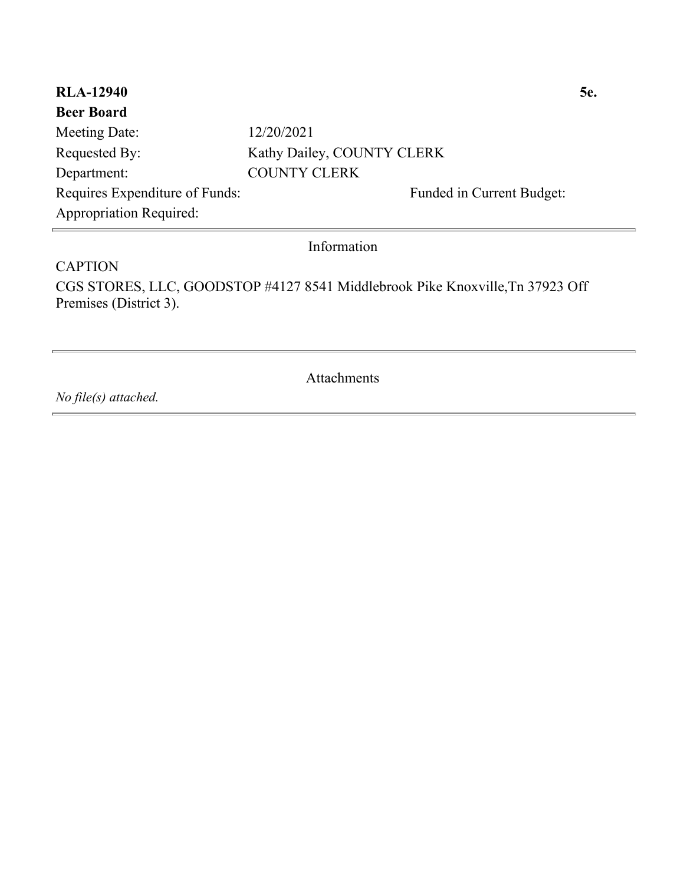| <b>RLA-12940</b>               |                            | <b>5e.</b> |
|--------------------------------|----------------------------|------------|
| <b>Beer Board</b>              |                            |            |
| Meeting Date:                  | 12/20/2021                 |            |
| Requested By:                  | Kathy Dailey, COUNTY CLERK |            |
| Department:                    | <b>COUNTY CLERK</b>        |            |
| Requires Expenditure of Funds: | Funded in Current Budget:  |            |
| <b>Appropriation Required:</b> |                            |            |
|                                |                            |            |

Information

**CAPTION** CGS STORES, LLC, GOODSTOP #4127 8541 Middlebrook Pike Knoxville,Tn 37923 Off Premises (District 3).

Attachments

*No file(s) attached.*

Ē.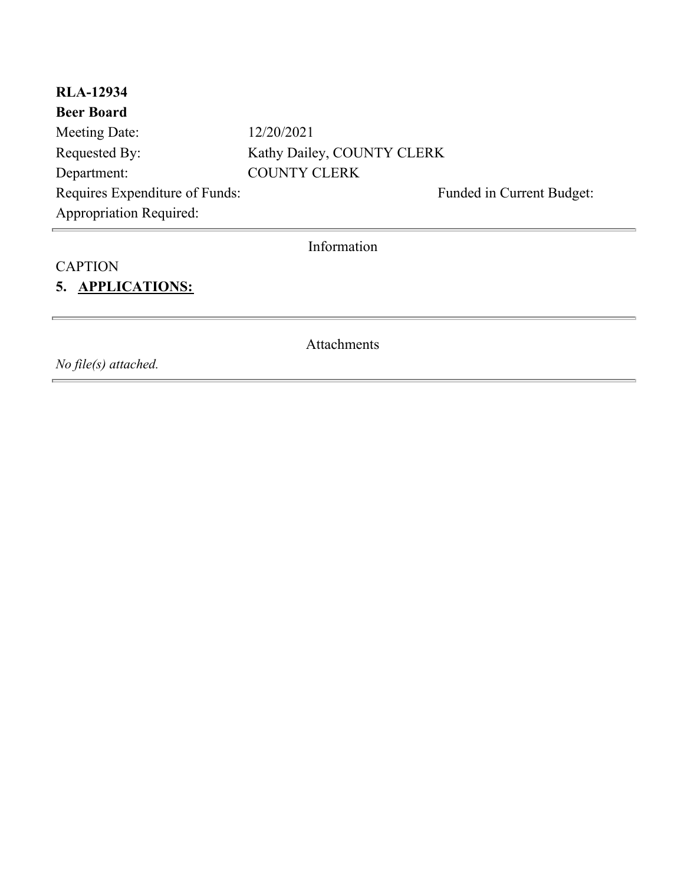| <b>RLA-12934</b>               |                            |  |
|--------------------------------|----------------------------|--|
| <b>Beer Board</b>              |                            |  |
| Meeting Date:                  | 12/20/2021                 |  |
| Requested By:                  | Kathy Dailey, COUNTY CLERK |  |
| Department:                    | <b>COUNTY CLERK</b>        |  |
| Requires Expenditure of Funds: | Funded in Current Budget:  |  |
| <b>Appropriation Required:</b> |                            |  |
| Information                    |                            |  |
| <b>CAPTION</b>                 |                            |  |
| 5. APPLICATIONS:               |                            |  |

Attachments

*No file(s) attached.*

Ē.